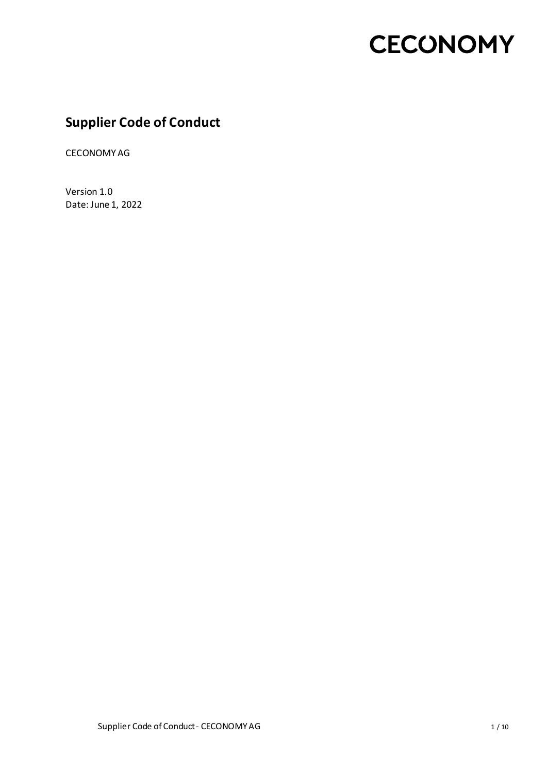### **Supplier Code of Conduct**

CECONOMY AG

Version 1.0 Date: June 1, 2022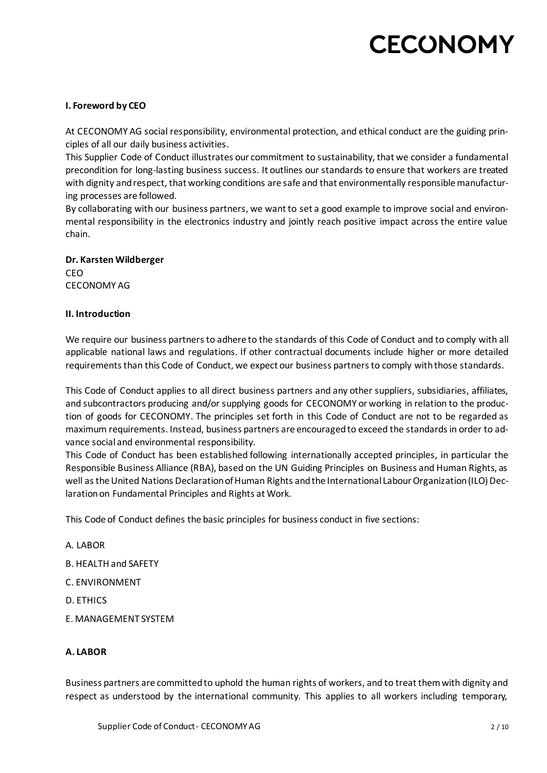#### **I. Foreword by CEO**

At CECONOMY AG social responsibility, environmental protection, and ethical conduct are the guiding principles of all our daily business activities.

This Supplier Code of Conduct illustrates our commitment to sustainability, that we consider a fundamental precondition for long-lasting business success. It outlines our standards to ensure that workers are treated with dignity and respect, that working conditions are safe and that environmentally responsible manufacturing processes are followed.

By collaborating with our business partners, we want to set a good example to improve social and environmental responsibility in the electronics industry and jointly reach positive impact across the entire value chain.

#### **Dr. Karsten Wildberger** CEO

CECONOMY AG

#### **II. Introduction**

We require our business partners to adhere to the standards of this Code of Conduct and to comply with all applicable national laws and regulations. If other contractual documents include higher or more detailed requirements than this Code of Conduct, we expect our business partners to comply with those standards.

This Code of Conduct applies to all direct business partners and any other suppliers, subsidiaries, affiliates, and subcontractors producing and/or supplying goods for CECONOMY or working in relation to the production of goods for CECONOMY. The principles set forth in this Code of Conduct are not to be regarded as maximum requirements. Instead, business partners are encouraged to exceed the standards in order to advance social and environmental responsibility.

This Code of Conduct has been established following internationally accepted principles, in particular the Responsible Business Alliance (RBA), based on the UN Guiding Principles on Business and Human Rights, as well as the United Nations Declaration of Human Rights and the International Labour Organization (ILO) Declaration on Fundamental Principles and Rights at Work.

This Code of Conduct defines the basic principles for business conduct in five sections:

- A. LABOR
- B. HEALTH and SAFETY
- C. ENVIRONMENT
- D. ETHICS
- E. MANAGEMENT SYSTEM

#### **A. LABOR**

Business partners are committed to uphold the human rights of workers, and to treat them with dignity and respect as understood by the international community. This applies to all workers including temporary,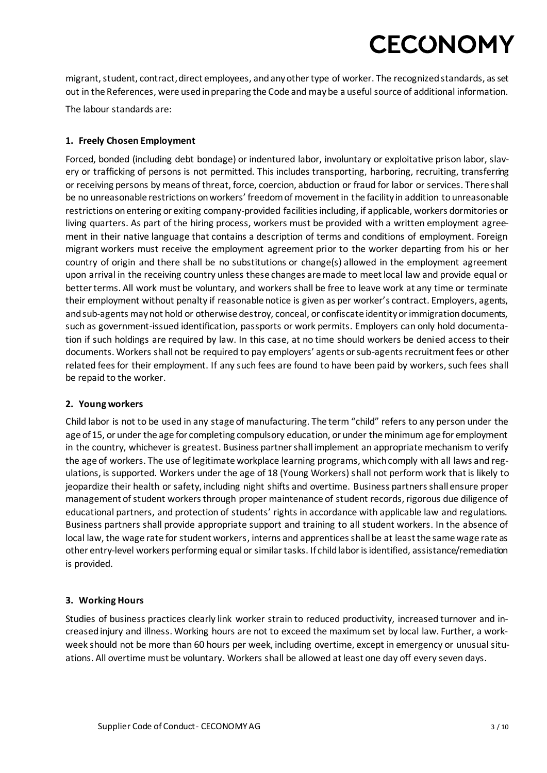migrant, student, contract, direct employees, and any other type of worker. The recognized standards, as set out in the References, were used in preparing the Code and may be a useful source of additional information.

The labour standards are:

#### **1. Freely Chosen Employment**

Forced, bonded (including debt bondage) or indentured labor, involuntary or exploitative prison labor, slavery or trafficking of persons is not permitted. This includes transporting, harboring, recruiting, transferring or receiving persons by means of threat, force, coercion, abduction or fraud for labor or services. There shall be no unreasonable restrictions on workers' freedom of movement in the facility in addition to unreasonable restrictions on entering or exiting company-provided facilities including, if applicable, workers dormitories or living quarters. As part of the hiring process, workers must be provided with a written employment agreement in their native language that contains a description of terms and conditions of employment. Foreign migrant workers must receive the employment agreement prior to the worker departing from his or her country of origin and there shall be no substitutions or change(s) allowed in the employment agreement upon arrival in the receiving country unless these changes are made to meet local law and provide equal or better terms. All work must be voluntary, and workers shall be free to leave work at any time or terminate their employment without penalty if reasonable notice is given as per worker's contract. Employers, agents, and sub-agents may not hold or otherwise destroy, conceal, or confiscate identity or immigration documents, such as government-issued identification, passports or work permits. Employers can only hold documentation if such holdings are required by law. In this case, at no time should workers be denied access to their documents. Workers shall not be required to pay employers' agents or sub-agents recruitment fees or other related fees for their employment. If any such fees are found to have been paid by workers, such fees shall be repaid to the worker.

#### **2. Young workers**

Child labor is not to be used in any stage of manufacturing. The term "child" refers to any person under the age of 15, or under the age for completing compulsory education, or under the minimum age for employment in the country, whichever is greatest. Business partner shall implement an appropriate mechanism to verify the age of workers. The use of legitimate workplace learning programs, which comply with all laws and regulations, is supported. Workers under the age of 18 (Young Workers) shall not perform work that is likely to jeopardize their health or safety, including night shifts and overtime. Business partners shall ensure proper management of student workers through proper maintenance of student records, rigorous due diligence of educational partners, and protection of students' rights in accordance with applicable law and regulations. Business partners shall provide appropriate support and training to all student workers. In the absence of local law, the wage rate for student workers, interns and apprentices shall be at least the same wage rate as other entry-level workers performing equal or similar tasks. If child labor is identified, assistance/remediation is provided.

#### **3. Working Hours**

Studies of business practices clearly link worker strain to reduced productivity, increased turnover and increased injury and illness. Working hours are not to exceed the maximum set by local law. Further, a workweek should not be more than 60 hours per week, including overtime, except in emergency or unusual situations. All overtime must be voluntary. Workers shall be allowed at least one day off every seven days.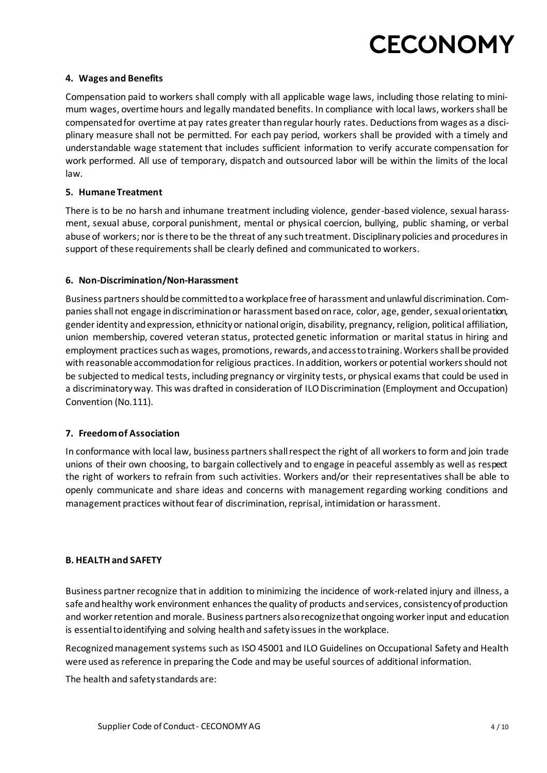#### **4. Wages and Benefits**

Compensation paid to workers shall comply with all applicable wage laws, including those relating to minimum wages, overtime hours and legally mandated benefits. In compliance with local laws, workers shall be compensated for overtime at pay rates greater than regular hourly rates. Deductions from wages as a disciplinary measure shall not be permitted. For each pay period, workers shall be provided with a timely and understandable wage statement that includes sufficient information to verify accurate compensation for work performed. All use of temporary, dispatch and outsourced labor will be within the limits of the local law.

#### **5. Humane Treatment**

There is to be no harsh and inhumane treatment including violence, gender-based violence, sexual harassment, sexual abuse, corporal punishment, mental or physical coercion, bullying, public shaming, or verbal abuse of workers; nor is there to be the threat of any such treatment. Disciplinary policies and procedures in support of these requirements shall be clearly defined and communicated to workers.

#### **6. Non-Discrimination/Non-Harassment**

Business partners should be committed to a workplace free of harassment and unlawful discrimination. Companies shall not engage in discrimination or harassment based on race, color, age, gender, sexual orientation, gender identity and expression, ethnicity or national origin, disability, pregnancy, religion, political affiliation, union membership, covered veteran status, protected genetic information or marital status in hiring and employment practices such as wages, promotions, rewards, and access to training. Workers shall be provided with reasonable accommodation for religious practices. In addition, workers or potential workers should not be subjected to medical tests, including pregnancy or virginity tests, or physical exams that could be used in a discriminatory way. This was drafted in consideration of ILO Discrimination (Employment and Occupation) Convention (No.111).

#### **7. Freedom of Association**

In conformance with local law, business partners shall respect the right of all workers to form and join trade unions of their own choosing, to bargain collectively and to engage in peaceful assembly as well as respect the right of workers to refrain from such activities. Workers and/or their representatives shall be able to openly communicate and share ideas and concerns with management regarding working conditions and management practices without fear of discrimination, reprisal, intimidation or harassment.

#### **B. HEALTH and SAFETY**

Business partnerrecognize that in addition to minimizing the incidence of work-related injury and illness, a safe and healthy work environment enhances the quality of products and services, consistency of production and worker retention and morale. Business partners also recognize that ongoing worker input and education is essential to identifying and solving health and safety issues in the workplace.

Recognized management systems such as ISO 45001 and ILO Guidelines on Occupational Safety and Health were used as reference in preparing the Code and may be useful sources of additional information.

The health and safety standards are: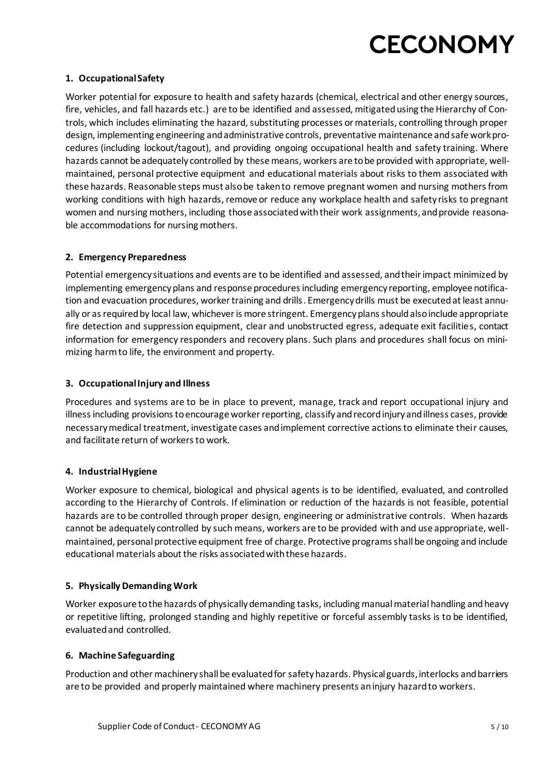#### **1. Occupational Safety**

Worker potential for exposure to health and safety hazards (chemical, electrical and other energy sources, fire, vehicles, and fall hazards etc.) are to be identified and assessed, mitigated using the Hierarchy of Controls, which includes eliminating the hazard, substituting processes or materials, controlling through proper design, implementing engineering and administrative controls, preventative maintenance and safe work procedures (including lockout/tagout), and providing ongoing occupational health and safety training. Where hazards cannot be adequately controlled by these means, workers are to be provided with appropriate, wellmaintained, personal protective equipment and educational materials about risks to them associated with these hazards. Reasonable steps must also be taken to remove pregnant women and nursing mothers from working conditions with high hazards, remove or reduce any workplace health and safety risks to pregnant women and nursing mothers, including those associated with their work assignments, and provide reasonable accommodations for nursing mothers.

#### **2. Emergency Preparedness**

Potential emergency situations and events are to be identified and assessed, and their impact minimized by implementing emergency plans and response procedures including emergency reporting, employee notification and evacuation procedures, worker training and drills. Emergency drills must be executed at least annually or as required by local law, whichever is more stringent. Emergency plans should also include appropriate fire detection and suppression equipment, clear and unobstructed egress, adequate exit facilities, contact information for emergency responders and recovery plans. Such plans and procedures shall focus on minimizing harm to life, the environment and property.

#### **3. Occupational Injury and Illness**

Procedures and systems are to be in place to prevent, manage, track and report occupational injury and illness including provisions to encourage worker reporting, classify and record injury and illness cases, provide necessary medical treatment, investigate cases and implement corrective actions to eliminate their causes, and facilitate return of workers to work.

#### **4. Industrial Hygiene**

Worker exposure to chemical, biological and physical agents is to be identified, evaluated, and controlled according to the Hierarchy of Controls. If elimination or reduction of the hazards is not feasible, potential hazards are to be controlled through proper design, engineering or administrative controls. When hazards cannot be adequately controlled by such means, workers are to be provided with and use appropriate, wellmaintained, personal protective equipment free of charge. Protective programs shall be ongoing and include educational materials about the risks associated with these hazards.

#### **5. Physically Demanding Work**

Worker exposure to the hazards of physically demanding tasks, including manual material handling and heavy or repetitive lifting, prolonged standing and highly repetitive or forceful assembly tasks is to be identified, evaluated and controlled.

#### **6. Machine Safeguarding**

Production and other machinery shall be evaluated for safety hazards. Physical guards, interlocks and barriers are to be provided and properly maintained where machinery presents an injury hazard to workers.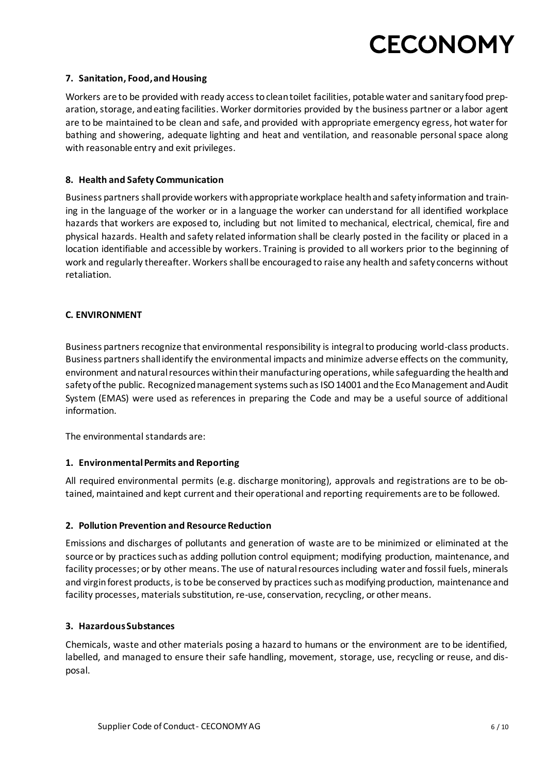#### **7. Sanitation, Food, and Housing**

Workers are to be provided with ready access to clean toilet facilities, potable water and sanitary food preparation, storage, and eating facilities. Worker dormitories provided by the business partner or a labor agent are to be maintained to be clean and safe, and provided with appropriate emergency egress, hot water for bathing and showering, adequate lighting and heat and ventilation, and reasonable personal space along with reasonable entry and exit privileges.

#### **8. Health and Safety Communication**

Business partners shall provide workers with appropriate workplace health and safety information and training in the language of the worker or in a language the worker can understand for all identified workplace hazards that workers are exposed to, including but not limited to mechanical, electrical, chemical, fire and physical hazards. Health and safety related information shall be clearly posted in the facility or placed in a location identifiable and accessible by workers. Training is provided to all workers prior to the beginning of work and regularly thereafter. Workers shall be encouraged to raise any health and safety concerns without retaliation.

#### **C. ENVIRONMENT**

Business partners recognize that environmental responsibility is integral to producing world-class products. Business partners shall identify the environmental impacts and minimize adverse effects on the community, environment and natural resources within their manufacturing operations, while safeguarding the health and safety of the public. Recognized management systems such as ISO 14001 and the Eco Management and Audit System (EMAS) were used as references in preparing the Code and may be a useful source of additional information.

The environmental standards are:

#### **1. Environmental Permits and Reporting**

All required environmental permits (e.g. discharge monitoring), approvals and registrations are to be obtained, maintained and kept current and their operational and reporting requirements are to be followed.

#### **2. Pollution Prevention and Resource Reduction**

Emissions and discharges of pollutants and generation of waste are to be minimized or eliminated at the source or by practices such as adding pollution control equipment; modifying production, maintenance, and facility processes; or by other means. The use of natural resources including water and fossil fuels, minerals and virgin forest products, is to be be conserved by practices such as modifying production, maintenance and facility processes, materials substitution, re-use, conservation, recycling, or other means.

#### **3. Hazardous Substances**

Chemicals, waste and other materials posing a hazard to humans or the environment are to be identified, labelled, and managed to ensure their safe handling, movement, storage, use, recycling or reuse, and disposal.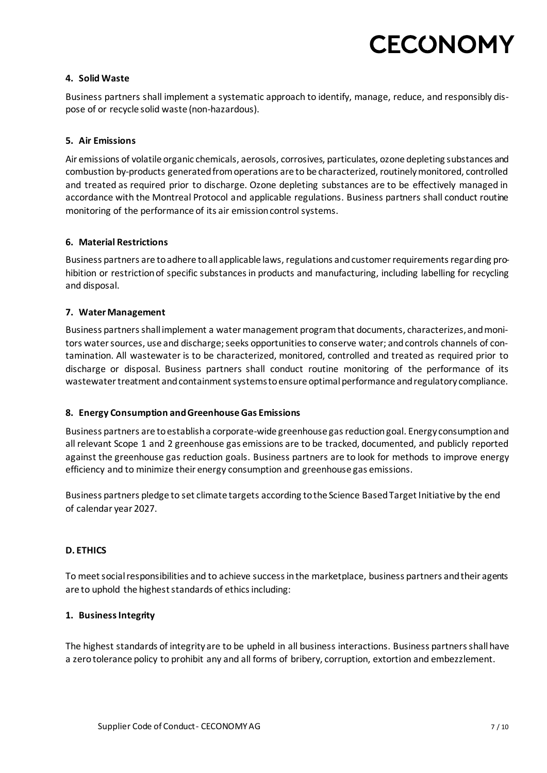#### **4. Solid Waste**

Business partners shall implement a systematic approach to identify, manage, reduce, and responsibly dispose of or recycle solid waste (non-hazardous).

#### **5. Air Emissions**

Air emissions of volatile organic chemicals, aerosols, corrosives, particulates, ozone depleting substances and combustion by-products generated from operations are to be characterized, routinely monitored, controlled and treated as required prior to discharge. Ozone depleting substances are to be effectively managed in accordance with the Montreal Protocol and applicable regulations. Business partners shall conduct routine monitoring of the performance of its air emission control systems.

#### **6. Material Restrictions**

Business partners are to adhere to all applicable laws, regulations and customer requirements regarding prohibition or restriction of specific substances in products and manufacturing, including labelling for recycling and disposal.

#### **7. Water Management**

Business partners shall implement a water management program that documents, characterizes, and monitors water sources, use and discharge; seeks opportunities to conserve water; and controls channels of contamination. All wastewater is to be characterized, monitored, controlled and treated as required prior to discharge or disposal. Business partners shall conduct routine monitoring of the performance of its wastewater treatment and containment systems to ensure optimal performance and regulatory compliance.

#### **8. Energy Consumption and Greenhouse Gas Emissions**

Business partners are to establish a corporate-wide greenhouse gas reduction goal. Energy consumption and all relevant Scope 1 and 2 greenhouse gas emissions are to be tracked, documented, and publicly reported against the greenhouse gas reduction goals. Business partners are to look for methods to improve energy efficiency and to minimize their energy consumption and greenhouse gas emissions.

Business partners pledge to set climate targets according to the Science Based Target Initiative by the end of calendar year 2027.

#### **D. ETHICS**

To meet social responsibilities and to achieve success in the marketplace, business partners and their agents are to uphold the highest standards of ethics including:

#### **1. Business Integrity**

The highest standards of integrity are to be upheld in all business interactions. Business partners shall have a zero tolerance policy to prohibit any and all forms of bribery, corruption, extortion and embezzlement.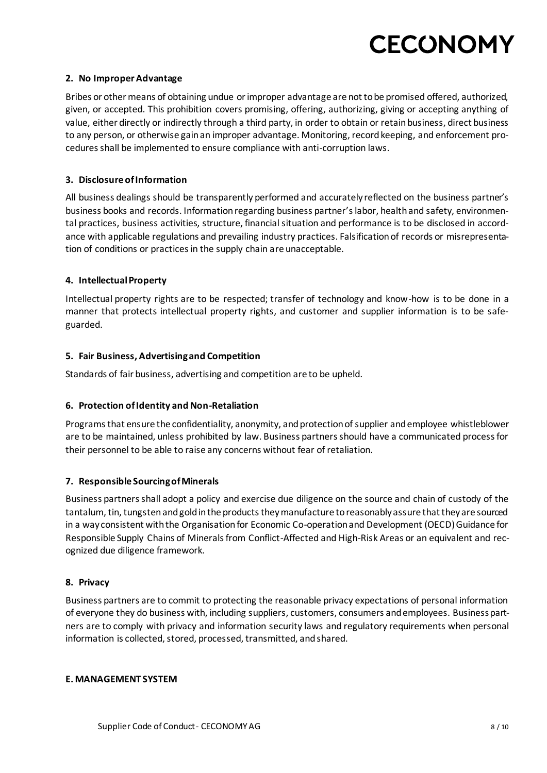#### **2. No Improper Advantage**

Bribes or other means of obtaining undue or improper advantage are not to be promised offered, authorized, given, or accepted. This prohibition covers promising, offering, authorizing, giving or accepting anything of value, either directly or indirectly through a third party, in order to obtain or retain business, direct business to any person, or otherwise gain an improper advantage. Monitoring, record keeping, and enforcement procedures shall be implemented to ensure compliance with anti-corruption laws.

#### **3. Disclosure of Information**

All business dealings should be transparently performed and accurately reflected on the business partner's business books and records. Information regarding business partner'slabor, health and safety, environmental practices, business activities, structure, financial situation and performance is to be disclosed in accordance with applicable regulations and prevailing industry practices. Falsification of records or misrepresentation of conditions or practices in the supply chain are unacceptable.

#### **4. Intellectual Property**

Intellectual property rights are to be respected; transfer of technology and know-how is to be done in a manner that protects intellectual property rights, and customer and supplier information is to be safeguarded.

#### **5. Fair Business, Advertising and Competition**

Standards of fair business, advertising and competition are to be upheld.

#### **6. Protection of Identity and Non-Retaliation**

Programs that ensure the confidentiality, anonymity, and protection of supplier and employee whistleblower are to be maintained, unless prohibited by law. Business partners should have a communicated process for their personnel to be able to raise any concerns without fear of retaliation.

#### **7. Responsible Sourcing of Minerals**

Business partners shall adopt a policy and exercise due diligence on the source and chain of custody of the tantalum, tin, tungsten and gold in the products they manufacture to reasonably assure that they are sourced in a way consistent with the Organisation for Economic Co-operation and Development (OECD) Guidance for Responsible Supply Chains of Minerals from Conflict-Affected and High-Risk Areas or an equivalent and recognized due diligence framework.

#### **8. Privacy**

Business partners are to commit to protecting the reasonable privacy expectations of personal information of everyone they do business with, including suppliers, customers, consumers and employees. Business partners are to comply with privacy and information security laws and regulatory requirements when personal information is collected, stored, processed, transmitted, and shared.

#### **E. MANAGEMENT SYSTEM**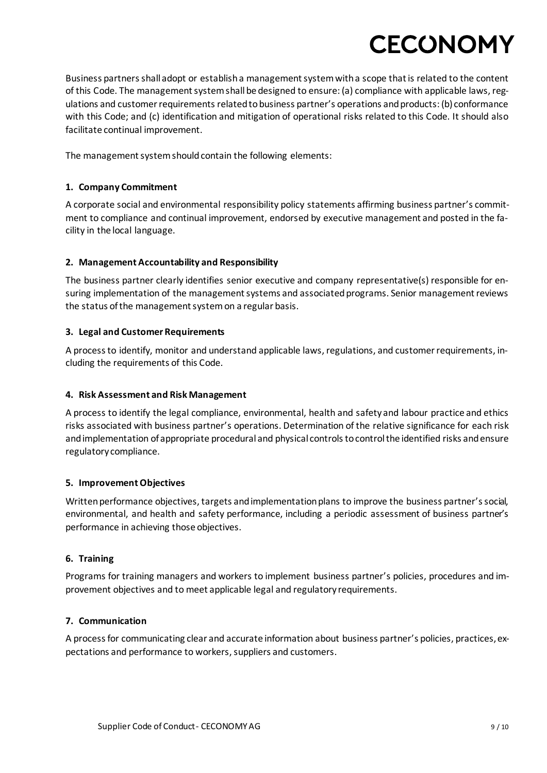Business partners shall adopt or establish a management system with a scope that is related to the content of this Code. The management system shall be designed to ensure: (a) compliance with applicable laws, regulations and customer requirements related to business partner's operations and products: (b) conformance with this Code; and (c) identification and mitigation of operational risks related to this Code. It should also facilitate continual improvement.

The management system should contain the following elements:

#### **1. Company Commitment**

A corporate social and environmental responsibility policy statements affirming business partner's commitment to compliance and continual improvement, endorsed by executive management and posted in the facility in the local language.

#### **2. Management Accountability and Responsibility**

The business partner clearly identifies senior executive and company representative(s) responsible for ensuring implementation of the management systems and associated programs. Senior management reviews the status of the management system on a regular basis.

#### **3. Legal and Customer Requirements**

A process to identify, monitor and understand applicable laws, regulations, and customer requirements, including the requirements of this Code.

#### **4. Risk Assessment and Risk Management**

A process to identify the legal compliance, environmental, health and safety and labour practice and ethics risks associated with business partner's operations. Determination of the relative significance for each risk and implementation of appropriate procedural and physical controls to control the identified risks and ensure regulatory compliance.

#### **5. Improvement Objectives**

Written performance objectives, targets and implementation plans to improve the business partner's social, environmental, and health and safety performance, including a periodic assessment of business partner's performance in achieving those objectives.

#### **6. Training**

Programs for training managers and workers to implement business partner's policies, procedures and improvement objectives and to meet applicable legal and regulatory requirements.

#### **7. Communication**

A process for communicating clear and accurate information about business partner's policies, practices, expectations and performance to workers, suppliers and customers.